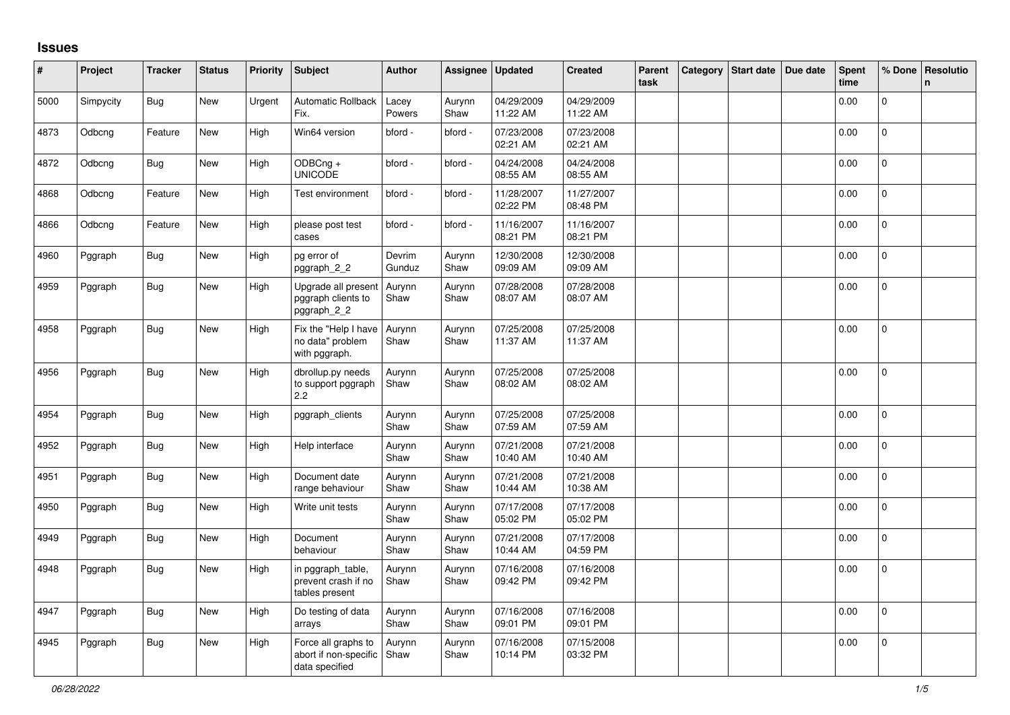## **Issues**

| #    | Project   | <b>Tracker</b> | <b>Status</b> | Priority | Subject                                                        | <b>Author</b>    | Assignee       | <b>Updated</b>         | <b>Created</b>         | Parent<br>task | Category   Start date   Due date | Spent<br>time | % Done       | Resolutio<br>n. |
|------|-----------|----------------|---------------|----------|----------------------------------------------------------------|------------------|----------------|------------------------|------------------------|----------------|----------------------------------|---------------|--------------|-----------------|
| 5000 | Simpycity | <b>Bug</b>     | New           | Urgent   | Automatic Rollback<br>Fix.                                     | Lacey<br>Powers  | Aurynn<br>Shaw | 04/29/2009<br>11:22 AM | 04/29/2009<br>11:22 AM |                |                                  | 0.00          | $\Omega$     |                 |
| 4873 | Odbcng    | Feature        | New           | High     | Win64 version                                                  | bford -          | bford -        | 07/23/2008<br>02:21 AM | 07/23/2008<br>02:21 AM |                |                                  | 0.00          | $\pmb{0}$    |                 |
| 4872 | Odbcng    | Bug            | New           | High     | ODBCng +<br><b>UNICODE</b>                                     | bford -          | bford -        | 04/24/2008<br>08:55 AM | 04/24/2008<br>08:55 AM |                |                                  | 0.00          | 0            |                 |
| 4868 | Odbcng    | Feature        | New           | High     | Test environment                                               | bford -          | bford -        | 11/28/2007<br>02:22 PM | 11/27/2007<br>08:48 PM |                |                                  | 0.00          | $\mathbf{0}$ |                 |
| 4866 | Odbcng    | Feature        | New           | High     | please post test<br>cases                                      | bford -          | bford -        | 11/16/2007<br>08:21 PM | 11/16/2007<br>08:21 PM |                |                                  | 0.00          | 0            |                 |
| 4960 | Pggraph   | Bug            | New           | High     | pg error of<br>pggraph_2_2                                     | Devrim<br>Gunduz | Aurynn<br>Shaw | 12/30/2008<br>09:09 AM | 12/30/2008<br>09:09 AM |                |                                  | 0.00          | $\pmb{0}$    |                 |
| 4959 | Pggraph   | Bug            | New           | High     | Upgrade all present<br>pggraph clients to<br>pggraph_2_2       | Aurynn<br>Shaw   | Aurynn<br>Shaw | 07/28/2008<br>08:07 AM | 07/28/2008<br>08:07 AM |                |                                  | 0.00          | 0            |                 |
| 4958 | Pggraph   | <b>Bug</b>     | New           | High     | Fix the "Help I have<br>no data" problem<br>with pggraph.      | Aurynn<br>Shaw   | Aurynn<br>Shaw | 07/25/2008<br>11:37 AM | 07/25/2008<br>11:37 AM |                |                                  | 0.00          | $\mathbf 0$  |                 |
| 4956 | Pggraph   | Bug            | New           | High     | dbrollup.py needs<br>to support pggraph<br>2.2                 | Aurynn<br>Shaw   | Aurynn<br>Shaw | 07/25/2008<br>08:02 AM | 07/25/2008<br>08:02 AM |                |                                  | 0.00          | $\mathbf 0$  |                 |
| 4954 | Pggraph   | Bug            | New           | High     | pggraph_clients                                                | Aurynn<br>Shaw   | Aurynn<br>Shaw | 07/25/2008<br>07:59 AM | 07/25/2008<br>07:59 AM |                |                                  | 0.00          | $\Omega$     |                 |
| 4952 | Pggraph   | Bug            | New           | High     | Help interface                                                 | Aurynn<br>Shaw   | Aurynn<br>Shaw | 07/21/2008<br>10:40 AM | 07/21/2008<br>10:40 AM |                |                                  | 0.00          | $\Omega$     |                 |
| 4951 | Pggraph   | <b>Bug</b>     | New           | High     | Document date<br>range behaviour                               | Aurynn<br>Shaw   | Aurynn<br>Shaw | 07/21/2008<br>10:44 AM | 07/21/2008<br>10:38 AM |                |                                  | 0.00          | $\pmb{0}$    |                 |
| 4950 | Pggraph   | Bug            | New           | High     | Write unit tests                                               | Aurynn<br>Shaw   | Aurynn<br>Shaw | 07/17/2008<br>05:02 PM | 07/17/2008<br>05:02 PM |                |                                  | 0.00          | $\mathsf{O}$ |                 |
| 4949 | Pggraph   | <b>Bug</b>     | New           | High     | Document<br>behaviour                                          | Aurynn<br>Shaw   | Aurynn<br>Shaw | 07/21/2008<br>10:44 AM | 07/17/2008<br>04:59 PM |                |                                  | 0.00          | $\mathbf{0}$ |                 |
| 4948 | Pggraph   | <b>Bug</b>     | <b>New</b>    | High     | in pggraph_table,<br>prevent crash if no<br>tables present     | Aurynn<br>Shaw   | Aurynn<br>Shaw | 07/16/2008<br>09:42 PM | 07/16/2008<br>09:42 PM |                |                                  | 0.00          | 0            |                 |
| 4947 | Pggraph   | Bug            | New           | High     | Do testing of data<br>arrays                                   | Aurynn<br>Shaw   | Aurynn<br>Shaw | 07/16/2008<br>09:01 PM | 07/16/2008<br>09:01 PM |                |                                  | 0.00          | $\mathbf 0$  |                 |
| 4945 | Pggraph   | Bug            | New           | High     | Force all graphs to<br>abort if non-specific<br>data specified | Aurynn<br>Shaw   | Aurynn<br>Shaw | 07/16/2008<br>10:14 PM | 07/15/2008<br>03:32 PM |                |                                  | 0.00          | 0            |                 |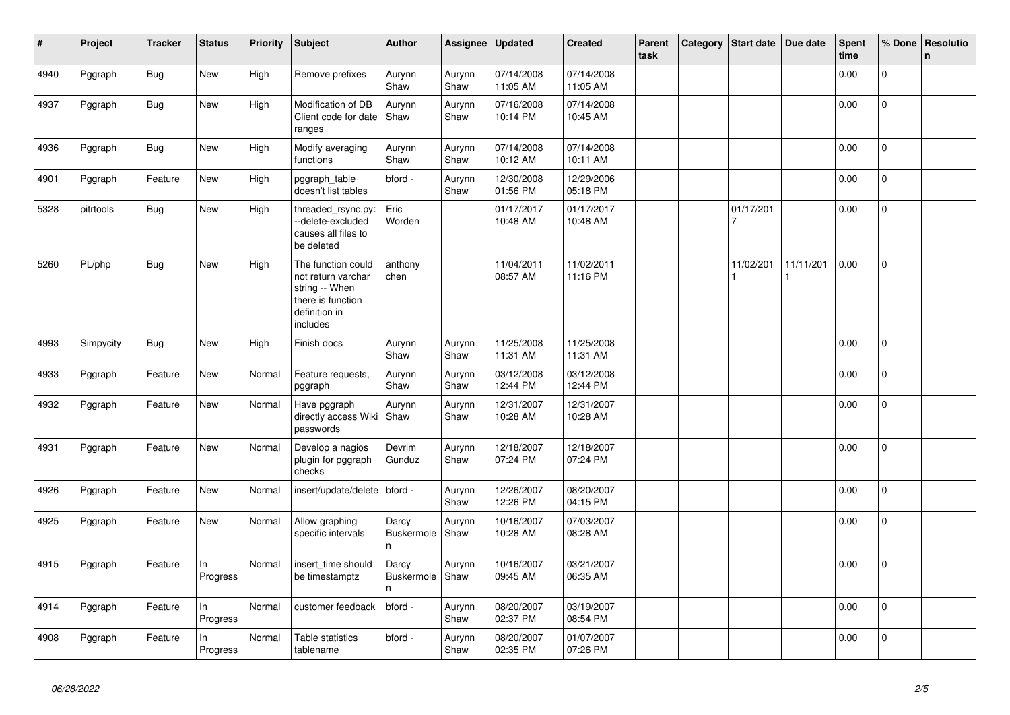| $\vert$ # | Project   | <b>Tracker</b> | <b>Status</b>  | <b>Priority</b> | Subject                                                                                                      | <b>Author</b>                   | Assignee       | <b>Updated</b>         | <b>Created</b>         | Parent<br>task | Category | Start date     | Due date  | <b>Spent</b><br>time | % Done         | Resolutio<br>$\mathsf{n}$ |
|-----------|-----------|----------------|----------------|-----------------|--------------------------------------------------------------------------------------------------------------|---------------------------------|----------------|------------------------|------------------------|----------------|----------|----------------|-----------|----------------------|----------------|---------------------------|
| 4940      | Pggraph   | <b>Bug</b>     | <b>New</b>     | High            | Remove prefixes                                                                                              | Aurynn<br>Shaw                  | Aurynn<br>Shaw | 07/14/2008<br>11:05 AM | 07/14/2008<br>11:05 AM |                |          |                |           | 0.00                 | $\Omega$       |                           |
| 4937      | Pggraph   | Bug            | New            | High            | Modification of DB<br>Client code for date<br>ranges                                                         | Aurynn<br>Shaw                  | Aurynn<br>Shaw | 07/16/2008<br>10:14 PM | 07/14/2008<br>10:45 AM |                |          |                |           | 0.00                 | 0              |                           |
| 4936      | Pggraph   | Bug            | New            | High            | Modify averaging<br>functions                                                                                | Aurynn<br>Shaw                  | Aurynn<br>Shaw | 07/14/2008<br>10:12 AM | 07/14/2008<br>10:11 AM |                |          |                |           | 0.00                 | $\mathbf 0$    |                           |
| 4901      | Pggraph   | Feature        | New            | High            | pggraph_table<br>doesn't list tables                                                                         | bford -                         | Aurynn<br>Shaw | 12/30/2008<br>01:56 PM | 12/29/2006<br>05:18 PM |                |          |                |           | 0.00                 | $\Omega$       |                           |
| 5328      | pitrtools | Bug            | New            | High            | threaded_rsync.py:<br>--delete-excluded<br>causes all files to<br>be deleted                                 | Eric<br>Worden                  |                | 01/17/2017<br>10:48 AM | 01/17/2017<br>10:48 AM |                |          | 01/17/201      |           | 0.00                 | 0              |                           |
| 5260      | PL/php    | Bug            | New            | High            | The function could<br>not return varchar<br>string -- When<br>there is function<br>definition in<br>includes | anthony<br>chen                 |                | 11/04/2011<br>08:57 AM | 11/02/2011<br>11:16 PM |                |          | 11/02/201<br>1 | 11/11/201 | 0.00                 | $\mathbf 0$    |                           |
| 4993      | Simpycity | <b>Bug</b>     | New            | High            | Finish docs                                                                                                  | Aurynn<br>Shaw                  | Aurynn<br>Shaw | 11/25/2008<br>11:31 AM | 11/25/2008<br>11:31 AM |                |          |                |           | 0.00                 | 0              |                           |
| 4933      | Pggraph   | Feature        | <b>New</b>     | Normal          | Feature requests,<br>pggraph                                                                                 | Aurynn<br>Shaw                  | Aurynn<br>Shaw | 03/12/2008<br>12:44 PM | 03/12/2008<br>12:44 PM |                |          |                |           | 0.00                 | $\mathbf{0}$   |                           |
| 4932      | Pggraph   | Feature        | New            | Normal          | Have pggraph<br>directly access Wiki<br>passwords                                                            | Aurynn<br>Shaw                  | Aurynn<br>Shaw | 12/31/2007<br>10:28 AM | 12/31/2007<br>10:28 AM |                |          |                |           | 0.00                 | $\overline{0}$ |                           |
| 4931      | Pggraph   | Feature        | New            | Normal          | Develop a nagios<br>plugin for pggraph<br>checks                                                             | Devrim<br>Gunduz                | Aurynn<br>Shaw | 12/18/2007<br>07:24 PM | 12/18/2007<br>07:24 PM |                |          |                |           | 0.00                 | $\mathbf 0$    |                           |
| 4926      | Pggraph   | Feature        | New            | Normal          | insert/update/delete                                                                                         | bford -                         | Aurynn<br>Shaw | 12/26/2007<br>12:26 PM | 08/20/2007<br>04:15 PM |                |          |                |           | 0.00                 | $\mathbf 0$    |                           |
| 4925      | Pggraph   | Feature        | New            | Normal          | Allow graphing<br>specific intervals                                                                         | Darcy<br><b>Buskermole</b><br>n | Aurynn<br>Shaw | 10/16/2007<br>10:28 AM | 07/03/2007<br>08:28 AM |                |          |                |           | 0.00                 | $\Omega$       |                           |
| 4915      | Pggraph   | Feature        | In<br>Progress | Normal          | insert_time should<br>be timestamptz                                                                         | Darcy<br>Buskermole<br>n.       | Aurynn<br>Shaw | 10/16/2007<br>09:45 AM | 03/21/2007<br>06:35 AM |                |          |                |           | 0.00                 | 0              |                           |
| 4914      | Pggraph   | Feature        | In<br>Progress | Normal          | customer feedback                                                                                            | bford -                         | Aurynn<br>Shaw | 08/20/2007<br>02:37 PM | 03/19/2007<br>08:54 PM |                |          |                |           | 0.00                 | $\mathbf 0$    |                           |
| 4908      | Pggraph   | Feature        | In<br>Progress | Normal          | Table statistics<br>tablename                                                                                | bford -                         | Aurynn<br>Shaw | 08/20/2007<br>02:35 PM | 01/07/2007<br>07:26 PM |                |          |                |           | 0.00                 | 0              |                           |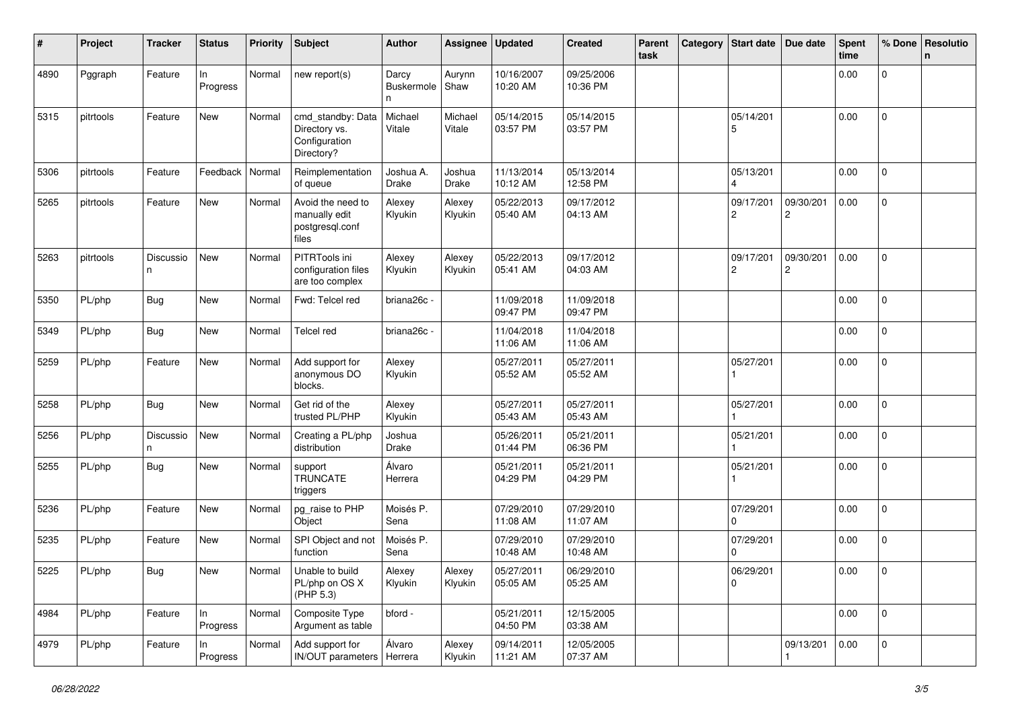| #    | Project   | <b>Tracker</b> | <b>Status</b>   | <b>Priority</b> | <b>Subject</b>                                                    | <b>Author</b>                    | Assignee          | <b>Updated</b>         | <b>Created</b>         | Parent<br>task | Category | <b>Start date</b>           | Due date       | <b>Spent</b><br>time | % Done              | Resolutio<br>n |
|------|-----------|----------------|-----------------|-----------------|-------------------------------------------------------------------|----------------------------------|-------------------|------------------------|------------------------|----------------|----------|-----------------------------|----------------|----------------------|---------------------|----------------|
| 4890 | Pggraph   | Feature        | ln.<br>Progress | Normal          | new report(s)                                                     | Darcy<br><b>Buskermole</b><br>n. | Aurynn<br>Shaw    | 10/16/2007<br>10:20 AM | 09/25/2006<br>10:36 PM |                |          |                             |                | 0.00                 | $\mathbf 0$         |                |
| 5315 | pitrtools | Feature        | New             | Normal          | cmd standby: Data<br>Directory vs.<br>Configuration<br>Directory? | Michael<br>Vitale                | Michael<br>Vitale | 05/14/2015<br>03:57 PM | 05/14/2015<br>03:57 PM |                |          | 05/14/201<br>5              |                | 0.00                 | $\mathbf{0}$        |                |
| 5306 | pitrtools | Feature        | Feedback        | Normal          | Reimplementation<br>of queue                                      | Joshua A.<br><b>Drake</b>        | Joshua<br>Drake   | 11/13/2014<br>10:12 AM | 05/13/2014<br>12:58 PM |                |          | 05/13/201                   |                | 0.00                 | $\mathbf 0$         |                |
| 5265 | pitrtools | Feature        | New             | Normal          | Avoid the need to<br>manually edit<br>postgresql.conf<br>files    | Alexey<br>Klyukin                | Alexey<br>Klyukin | 05/22/2013<br>05:40 AM | 09/17/2012<br>04:13 AM |                |          | 09/17/201<br>$\overline{c}$ | 09/30/201<br>2 | 0.00                 | $\mathbf 0$         |                |
| 5263 | pitrtools | Discussio<br>n | New             | Normal          | PITRTools ini<br>configuration files<br>are too complex           | Alexey<br>Klyukin                | Alexey<br>Klyukin | 05/22/2013<br>05:41 AM | 09/17/2012<br>04:03 AM |                |          | 09/17/201<br>2              | 09/30/201<br>2 | 0.00                 | $\mathbf{0}$        |                |
| 5350 | PL/php    | <b>Bug</b>     | New             | Normal          | Fwd: Telcel red                                                   | briana26c -                      |                   | 11/09/2018<br>09:47 PM | 11/09/2018<br>09:47 PM |                |          |                             |                | 0.00                 | $\mathbf{0}$        |                |
| 5349 | PL/php    | <b>Bug</b>     | New             | Normal          | <b>Telcel red</b>                                                 | briana26c -                      |                   | 11/04/2018<br>11:06 AM | 11/04/2018<br>11:06 AM |                |          |                             |                | 0.00                 | $\mathbf 0$         |                |
| 5259 | PL/php    | Feature        | New             | Normal          | Add support for<br>anonymous DO<br>blocks.                        | Alexey<br>Klyukin                |                   | 05/27/2011<br>05:52 AM | 05/27/2011<br>05:52 AM |                |          | 05/27/201                   |                | 0.00                 | $\mathsf{O}\xspace$ |                |
| 5258 | PL/php    | <b>Bug</b>     | New             | Normal          | Get rid of the<br>trusted PL/PHP                                  | Alexey<br>Klyukin                |                   | 05/27/2011<br>05:43 AM | 05/27/2011<br>05:43 AM |                |          | 05/27/201                   |                | 0.00                 | $\mathbf{0}$        |                |
| 5256 | PL/php    | Discussio<br>n | New             | Normal          | Creating a PL/php<br>distribution                                 | Joshua<br>Drake                  |                   | 05/26/2011<br>01:44 PM | 05/21/2011<br>06:36 PM |                |          | 05/21/201                   |                | 0.00                 | $\mathbf 0$         |                |
| 5255 | PL/php    | <b>Bug</b>     | New             | Normal          | support<br><b>TRUNCATE</b><br>triggers                            | Álvaro<br>Herrera                |                   | 05/21/2011<br>04:29 PM | 05/21/2011<br>04:29 PM |                |          | 05/21/201                   |                | 0.00                 | $\mathbf 0$         |                |
| 5236 | PL/php    | Feature        | New             | Normal          | pg_raise to PHP<br>Object                                         | Moisés P.<br>Sena                |                   | 07/29/2010<br>11:08 AM | 07/29/2010<br>11:07 AM |                |          | 07/29/201<br>$\Omega$       |                | 0.00                 | $\mathbf 0$         |                |
| 5235 | PL/php    | Feature        | New             | Normal          | SPI Object and not<br>function                                    | Moisés P.<br>Sena                |                   | 07/29/2010<br>10:48 AM | 07/29/2010<br>10:48 AM |                |          | 07/29/201<br>$\Omega$       |                | 0.00                 | 0                   |                |
| 5225 | PL/php    | <b>Bug</b>     | New             | Normal          | Unable to build<br>PL/php on OS X<br>(PHP 5.3)                    | Alexey<br>Klyukin                | Alexey<br>Klyukin | 05/27/2011<br>05:05 AM | 06/29/2010<br>05:25 AM |                |          | 06/29/201<br>$\mathbf 0$    |                | 0.00                 | 0                   |                |
| 4984 | PL/php    | Feature        | In<br>Progress  | Normal          | Composite Type<br>Argument as table                               | bford -                          |                   | 05/21/2011<br>04:50 PM | 12/15/2005<br>03:38 AM |                |          |                             |                | 0.00                 | $\overline{0}$      |                |
| 4979 | PL/php    | Feature        | In.<br>Progress | Normal          | Add support for<br>IN/OUT parameters   Herrera                    | Álvaro                           | Alexey<br>Klyukin | 09/14/2011<br>11:21 AM | 12/05/2005<br>07:37 AM |                |          |                             | 09/13/201      | 0.00                 | $\overline{0}$      |                |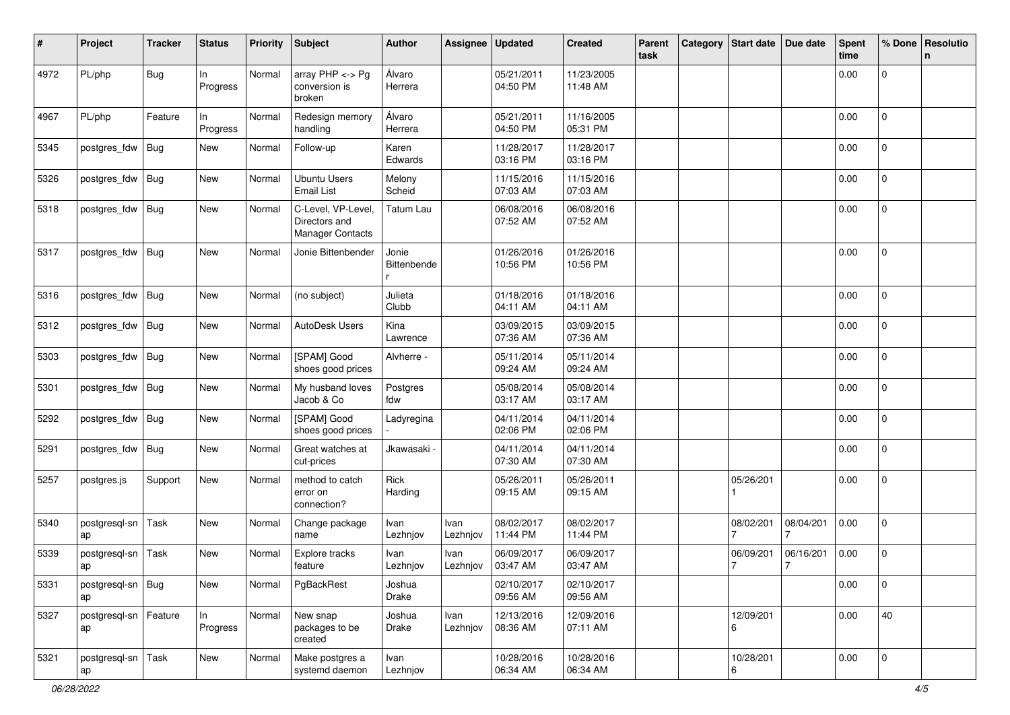| #    | Project                       | <b>Tracker</b> | <b>Status</b>   | <b>Priority</b> | <b>Subject</b>                                          | <b>Author</b>        | Assignee         | <b>Updated</b>         | <b>Created</b>         | Parent<br>task | Category | Start date                  | Due date                    | <b>Spent</b><br>time | % Done              | Resolutio<br>n |
|------|-------------------------------|----------------|-----------------|-----------------|---------------------------------------------------------|----------------------|------------------|------------------------|------------------------|----------------|----------|-----------------------------|-----------------------------|----------------------|---------------------|----------------|
| 4972 | PL/php                        | Bug            | In<br>Progress  | Normal          | array $PHP \lt\gt P$ g<br>conversion is<br>broken       | Álvaro<br>Herrera    |                  | 05/21/2011<br>04:50 PM | 11/23/2005<br>11:48 AM |                |          |                             |                             | 0.00                 | 0                   |                |
| 4967 | PL/php                        | Feature        | ln.<br>Progress | Normal          | Redesign memory<br>handling                             | Álvaro<br>Herrera    |                  | 05/21/2011<br>04:50 PM | 11/16/2005<br>05:31 PM |                |          |                             |                             | 0.00                 | $\mathbf 0$         |                |
| 5345 | postgres_fdw                  | <b>Bug</b>     | New             | Normal          | Follow-up                                               | Karen<br>Edwards     |                  | 11/28/2017<br>03:16 PM | 11/28/2017<br>03:16 PM |                |          |                             |                             | 0.00                 | $\mathbf 0$         |                |
| 5326 | postgres_fdw                  | <b>Bug</b>     | New             | Normal          | <b>Ubuntu Users</b><br><b>Email List</b>                | Melony<br>Scheid     |                  | 11/15/2016<br>07:03 AM | 11/15/2016<br>07:03 AM |                |          |                             |                             | 0.00                 | 0                   |                |
| 5318 | postgres_fdw                  | <b>Bug</b>     | New             | Normal          | C-Level, VP-Level,<br>Directors and<br>Manager Contacts | Tatum Lau            |                  | 06/08/2016<br>07:52 AM | 06/08/2016<br>07:52 AM |                |          |                             |                             | 0.00                 | 0                   |                |
| 5317 | postgres_fdw                  | <b>Bug</b>     | New             | Normal          | Jonie Bittenbender                                      | Jonie<br>Bittenbende |                  | 01/26/2016<br>10:56 PM | 01/26/2016<br>10:56 PM |                |          |                             |                             | 0.00                 | 0                   |                |
| 5316 | postgres_fdw                  | Bug            | New             | Normal          | (no subject)                                            | Julieta<br>Clubb     |                  | 01/18/2016<br>04:11 AM | 01/18/2016<br>04:11 AM |                |          |                             |                             | 0.00                 | 0                   |                |
| 5312 | postgres_fdw                  | <b>Bug</b>     | New             | Normal          | AutoDesk Users                                          | Kina<br>Lawrence     |                  | 03/09/2015<br>07:36 AM | 03/09/2015<br>07:36 AM |                |          |                             |                             | 0.00                 | 0                   |                |
| 5303 | postgres_fdw                  | <b>Bug</b>     | New             | Normal          | [SPAM] Good<br>shoes good prices                        | Alvherre -           |                  | 05/11/2014<br>09:24 AM | 05/11/2014<br>09:24 AM |                |          |                             |                             | 0.00                 | $\mathbf{0}$        |                |
| 5301 | postgres_fdw                  | <b>Bug</b>     | New             | Normal          | My husband loves<br>Jacob & Co                          | Postgres<br>fdw      |                  | 05/08/2014<br>03:17 AM | 05/08/2014<br>03:17 AM |                |          |                             |                             | 0.00                 | $\overline{0}$      |                |
| 5292 | postgres_fdw                  | <b>Bug</b>     | New             | Normal          | [SPAM] Good<br>shoes good prices                        | Ladyregina           |                  | 04/11/2014<br>02:06 PM | 04/11/2014<br>02:06 PM |                |          |                             |                             | 0.00                 | 0                   |                |
| 5291 | postgres_fdw                  | <b>Bug</b>     | New             | Normal          | Great watches at<br>cut-prices                          | Jkawasaki -          |                  | 04/11/2014<br>07:30 AM | 04/11/2014<br>07:30 AM |                |          |                             |                             | 0.00                 | $\mathbf{0}$        |                |
| 5257 | postgres.js                   | Support        | New             | Normal          | method to catch<br>error on<br>connection?              | Rick<br>Harding      |                  | 05/26/2011<br>09:15 AM | 05/26/2011<br>09:15 AM |                |          | 05/26/201                   |                             | 0.00                 | $\overline{0}$      |                |
| 5340 | postgresql-sn<br>ap           | Task           | New             | Normal          | Change package<br>name                                  | Ivan<br>Lezhnjov     | Ivan<br>Lezhnjov | 08/02/2017<br>11:44 PM | 08/02/2017<br>11:44 PM |                |          | 08/02/201                   | 08/04/201                   | 0.00                 | $\mathbf{0}$        |                |
| 5339 | postgresql-sn<br>ap           | Task           | New             | Normal          | Explore tracks<br>feature                               | Ivan<br>Lezhnjov     | Ivan<br>Lezhnjov | 06/09/2017<br>03:47 AM | 06/09/2017<br>03:47 AM |                |          | 06/09/201<br>$\overline{7}$ | 06/16/201<br>$\overline{7}$ | 0.00                 | 0                   |                |
| 5331 | postgresql-sn<br>ap           | Bug            | New             | Normal          | PgBackRest                                              | Joshua<br>Drake      |                  | 02/10/2017<br>09:56 AM | 02/10/2017<br>09:56 AM |                |          |                             |                             | 0.00                 | $\mathsf{O}\xspace$ |                |
| 5327 | postgresql-sn   Feature<br>ap |                | ln<br>Progress  | Normal          | New snap<br>packages to be<br>created                   | Joshua<br>Drake      | Ivan<br>Lezhnjov | 12/13/2016<br>08:36 AM | 12/09/2016<br>07:11 AM |                |          | 12/09/201<br>6              |                             | 0.00                 | 40                  |                |
| 5321 | postgresql-sn<br>ap           | Task           | New             | Normal          | Make postgres a<br>systemd daemon                       | Ivan<br>Lezhnjov     |                  | 10/28/2016<br>06:34 AM | 10/28/2016<br>06:34 AM |                |          | 10/28/201<br>6              |                             | 0.00                 | $\mathbf 0$         |                |